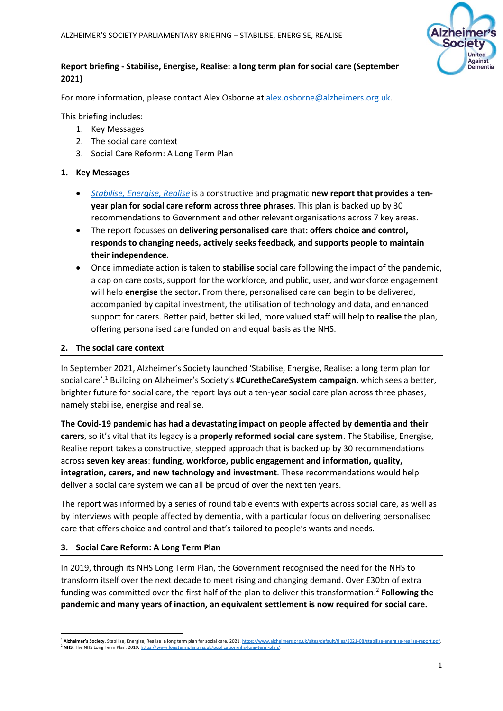

## **Report briefing - Stabilise, Energise, Realise: a long term plan for social care (September 2021)**

For more information, please contact Alex Osborne at [alex.osborne@alzheimers.org.uk.](mailto:alex.osborne@alzheimers.org.uk)

This briefing includes:

- 1. Key Messages
- 2. The social care context
- 3. Social Care Reform: A Long Term Plan

## **1. Key Messages**

- *[Stabilise, Energise, Realise](https://www.alzheimers.org.uk/sites/default/files/2021-08/stabilise-energise-realise-report.pdf)* is a constructive and pragmatic **new report that provides a tenyear plan for social care reform across three phrases**. This plan is backed up by 30 recommendations to Government and other relevant organisations across 7 key areas.
- The report focusses on **delivering personalised care** that**: offers choice and control, responds to changing needs, actively seeks feedback, and supports people to maintain their independence**.
- Once immediate action is taken to **stabilise** social care following the impact of the pandemic, a cap on care costs, support for the workforce, and public, user, and workforce engagement will help **energise** the sector**.** From there, personalised care can begin to be delivered, accompanied by capital investment, the utilisation of technology and data, and enhanced support for carers. Better paid, better skilled, more valued staff will help to **realise** the plan, offering personalised care funded on and equal basis as the NHS.

## **2. The social care context**

In September 2021, Alzheimer's Society launched 'Stabilise, Energise, Realise: a long term plan for social care'. <sup>1</sup> Building on Alzheimer's Society's **#CuretheCareSystem campaign**, which sees a better, brighter future for social care, the report lays out a ten-year social care plan across three phases, namely stabilise, energise and realise.

**The Covid-19 pandemic has had a devastating impact on people affected by dementia and their carers**, so it's vital that its legacy is a **properly reformed social care system**. The Stabilise, Energise, Realise report takes a constructive, stepped approach that is backed up by 30 recommendations across **seven key areas**: **funding, workforce, public engagement and information, quality, integration, carers, and new technology and investment**. These recommendations would help deliver a social care system we can all be proud of over the next ten years.

The report was informed by a series of round table events with experts across social care, as well as by interviews with people affected by dementia, with a particular focus on delivering personalised care that offers choice and control and that's tailored to people's wants and needs.

## **3. Social Care Reform: A Long Term Plan**

In 2019, through its NHS Long Term Plan, the Government recognised the need for the NHS to transform itself over the next decade to meet rising and changing demand. Over £30bn of extra funding was committed over the first half of the plan to deliver this transformation. 2 **Following the pandemic and many years of inaction, an equivalent settlement is now required for social care.**

<sup>1</sup> **Alzheimer's Society.** Stabilise, Energise, Realise: a long term plan for social care. 2021[. https://www.alzheimers.org.uk/sites/default/files/2021-08/stabilise-energise-realise-report.pdf.](https://www.alzheimers.org.uk/sites/default/files/2021-08/stabilise-energise-realise-report.pdf)  <sup>2</sup> **NHS**. The NHS Long Term Plan. 2019[. https://www.longtermplan.nhs.uk/publication/nhs-long-term-plan/.](https://www.longtermplan.nhs.uk/publication/nhs-long-term-plan/)